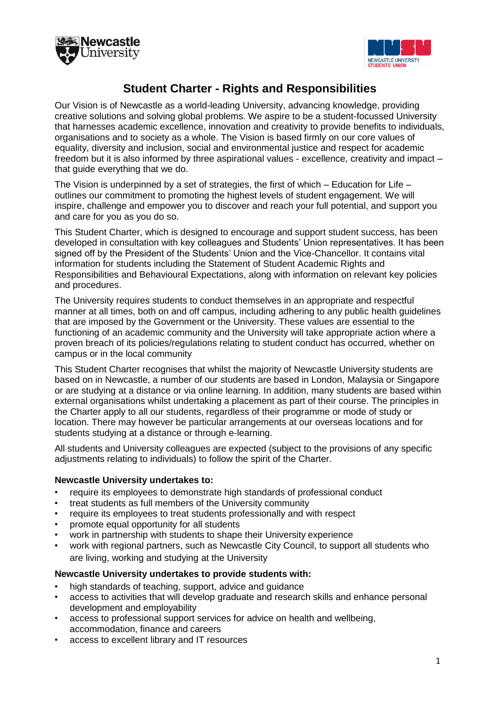



# **Student Charter - Rights and Responsibilities**

Our Vision is of Newcastle as a world-leading University, advancing knowledge, providing creative solutions and solving global problems. We aspire to be a student-focussed University that harnesses academic excellence, innovation and creativity to provide benefits to individuals, organisations and to society as a whole. The Vision is based firmly on our core values of equality, diversity and inclusion, social and environmental justice and respect for academic freedom but it is also informed by three aspirational values - excellence, creativity and impact – that guide everything that we do.

The Vision is underpinned by a set of strategies, the first of which  $-$  Education for Life  $$ outlines our commitment to promoting the highest levels of student engagement. We will inspire, challenge and empower you to discover and reach your full potential, and support you and care for you as you do so.

This Student Charter, which is designed to encourage and support student success, has been developed in consultation with key colleagues and Students' Union representatives. It has been signed off by the President of the Students' Union and the Vice-Chancellor. It contains vital information for students including the Statement of Student Academic Rights and Responsibilities and Behavioural Expectations, along with information on relevant key policies and procedures.

The University requires students to conduct themselves in an appropriate and respectful manner at all times, both on and off campus, including adhering to any public health guidelines that are imposed by the Government or the University. These values are essential to the functioning of an academic community and the University will take appropriate action where a proven breach of its policies/regulations relating to student conduct has occurred, whether on campus or in the local community

This Student Charter recognises that whilst the majority of Newcastle University students are based on in Newcastle, a number of our students are based in London, Malaysia or Singapore or are studying at a distance or via online learning. In addition, many students are based within external organisations whilst undertaking a placement as part of their course. The principles in the Charter apply to all our students, regardless of their programme or mode of study or location. There may however be particular arrangements at our [overseas l](http://www.ncl.ac.uk/numed/)ocations and for students studying at a distance or through e-learning.

All students and University colleagues are expected (subject to the provisions of any specific adjustments relating to individuals) to follow the spirit of the Charter.

#### **Newcastle University undertakes to:**

- require its employees to demonstrate high standards of professional conduct
- treat students as full members of the University community
- require its employees to treat students professionally and with respect
- promote equal opportunity for all students
- work in partnership with students to shape their University experience
- work with regional partners, such as Newcastle City Council, to support all students who are living, working and studying at the University

#### **Newcastle University undertakes to provide students with:**

- high standards of teaching, support, advice and guidance
- access to activities that will develop graduate and research skills and enhance personal development and employability
- access to professional support services for advice on health and wellbeing, accommodation, finance and careers
- access to excellent library and IT resources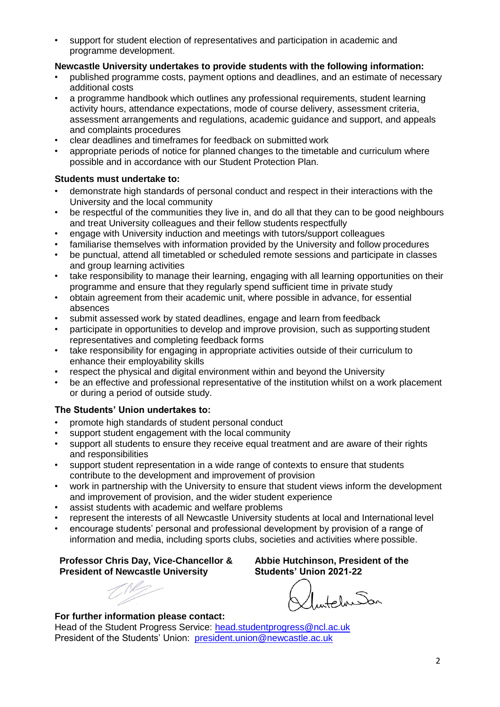• support for student election of representatives and participation in academic and programme development.

#### **Newcastle University undertakes to provide students with the following information:**

- published programme costs, payment options and deadlines, and an estimate of necessary additional costs
- a programme handbook which outlines any professional requirements, student learning activity hours, attendance expectations, mode of course delivery, assessment criteria, assessment arrangements and regulations, academic guidance and support, and appeals and complaints procedures
- clear deadlines and timeframes for feedback on submitted work
- appropriate periods of notice for planned changes to the timetable and curriculum where possible and in accordance with our Student Protection Plan.

## **Students must undertake to:**

- demonstrate high standards of personal conduct and respect in their interactions with the University and the local community
- be respectful of the communities they live in, and do all that they can to be good neighbours and treat University colleagues and their fellow students respectfully
- engage with University induction and meetings with tutors/support colleagues
- familiarise themselves with information provided by the University and follow procedures
- be punctual, attend all timetabled or scheduled remote sessions and participate in classes and group learning activities
- take responsibility to manage their learning, engaging with all learning opportunities on their programme and ensure that they regularly spend sufficient time in private study
- obtain agreement from their academic unit, where possible in advance, for essential absences
- submit assessed work by stated deadlines, engage and learn from feedback
- participate in opportunities to develop and improve provision, such as supporting student representatives and completing feedback forms
- take responsibility for engaging in appropriate activities outside of their curriculum to enhance their employability skills
- respect the physical and digital environment within and beyond the University
- be an effective and professional representative of the institution whilst on a work placement or during a period of outside study.

## **The Students' Union undertakes to:**

- promote high standards of student personal conduct
- support student engagement with the local community
- support all students to ensure they receive equal treatment and are aware of their rights and responsibilities
- support student representation in a wide range of contexts to ensure that students contribute to the development and improvement of provision
- work in partnership with the University to ensure that student views inform the development and improvement of provision, and the wider student experience
- assist students with academic and welfare problems
- represent the interests of all Newcastle University students at local and International level
- encourage students' personal and professional development by provision of a range of information and media, including sports clubs, societies and activities where possible.

#### **Professor Chris Day, Vice-Chancellor & President of Newcastle University**

#### **For further information please contact:**

Head of the Student Progress Service: [head.studentprogress@ncl.ac.uk](mailto:head.studentprogress@ncl.ac.uk) President of the Students' Union: [president.union@newcastle.ac.uk](mailto:president.union@newcastle.ac.uk)

**Abbie Hutchinson, President of the Students' Union 2021-22**

IntelnSan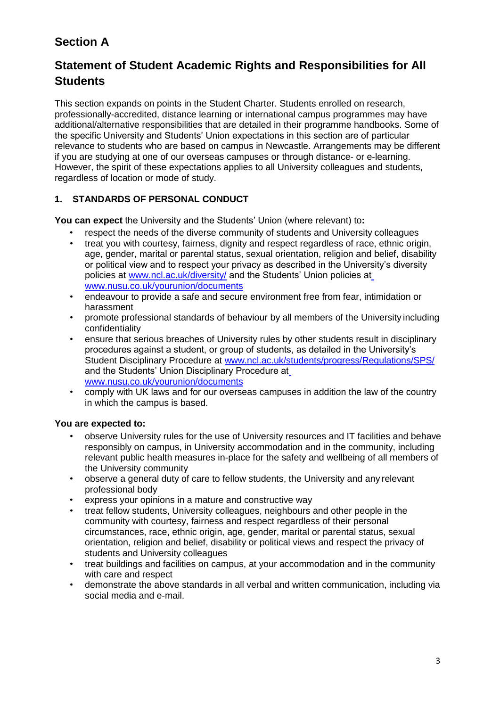# **Section A**

# **Statement of Student Academic Rights and Responsibilities for All Students**

This section expands on points in the Student Charter. Students enrolled on research, professionally-accredited, distance learning or international campus programmes may have additional/alternative responsibilities that are detailed in their programme handbooks. Some of the specific University and Students' Union expectations in this section are of particular relevance to students who are based on campus in Newcastle. Arrangements may be different if you are studying at one of our overseas campuses or through distance- or e-learning. However, the spirit of these expectations applies to all University colleagues and students, regardless of location or mode of study.

# **1. STANDARDS OF PERSONAL CONDUCT**

**You can expect** the University and the Students' Union (where relevant) to**:**

- respect the needs of the diverse community of students and University colleagues
- treat you with courtesy, fairness, dignity and respect regardless of race, ethnic origin, age, gender, marital or parental status, sexual orientation, religion and belief, disability or political view and to respect your privacy as described in the University's diversity policies at [www.ncl.ac.uk/diversity/](http://www.ncl.ac.uk/diversity/) and the Students' Union policies a[t](http://www.nusu.co.uk/yourunion/documents) [www.nusu.co.uk/yourunion/documents](http://www.nusu.co.uk/yourunion/documents)
- endeavour to provide a safe and secure environment free from fear, intimidation or harassment
- promote professional standards of behaviour by all members of the University including confidentiality
- ensure that serious breaches of University rules by other students result in disciplinary procedures against a student, or group of students, as detailed in the University's Student Disciplinary Procedure at [www.ncl.ac.uk/students/progress/Regulations/SPS/](http://www.ncl.ac.uk/students/progress/Regulations/SPS/) and the Students' Union Disciplinary Procedure a[t](http://www.nusu.co.uk/yourunion/documents) [www.nusu.co.uk/yourunion/documents](http://www.nusu.co.uk/yourunion/documents)
- comply with UK laws and for our overseas campuses in addition the law of the country in which the campus is based.

# **You are expected to:**

- observe University rules for the use of University resources and IT facilities and behave responsibly on campus, in University accommodation and in the community, including relevant public health measures in-place for the safety and wellbeing of all members of the University community
- observe a general duty of care to fellow students, the University and any relevant professional body
- express your opinions in a mature and constructive way
- treat fellow students, University colleagues, neighbours and other people in the community with courtesy, fairness and respect regardless of their personal circumstances, race, ethnic origin, age, gender, marital or parental status, sexual orientation, religion and belief, disability or political views and respect the privacy of students and University colleagues
- treat buildings and facilities on campus, at your accommodation and in the community with care and respect
- demonstrate the above standards in all verbal and written communication, including via social media and e-mail.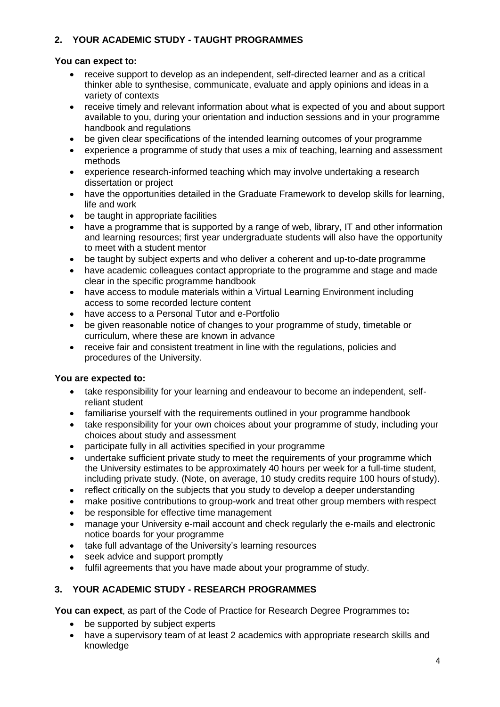# **2. YOUR ACADEMIC STUDY - TAUGHT PROGRAMMES**

## **You can expect to:**

- receive support to develop as an independent, self-directed learner and as a critical thinker able to synthesise, communicate, evaluate and apply opinions and ideas in a variety of contexts
- receive timely and relevant information about what is expected of you and about support available to you, during your orientation and induction sessions and in your programme handbook and regulations
- be given clear specifications of the intended learning outcomes of your programme
- experience a programme of study that uses a mix of teaching, learning and assessment methods
- experience research-informed teaching which may involve undertaking a research dissertation or project
- have the opportunities detailed in the Graduate Framework to develop skills for learning, life and work
- be taught in appropriate facilities
- have a programme that is supported by a range of web, library, IT and other information and learning resources; first year undergraduate students will also have the opportunity to meet with a student mentor
- be taught by subject experts and who deliver a coherent and up-to-date programme
- have academic colleagues contact appropriate to the programme and stage and made clear in the specific programme handbook
- have access to module materials within a Virtual Learning Environment including access to some recorded lecture content
- have access to a Personal Tutor and e-Portfolio
- be given reasonable notice of changes to your programme of study, timetable or curriculum, where these are known in advance
- receive fair and consistent treatment in line with the regulations, policies and procedures of the University.

# **You are expected to:**

- take responsibility for your learning and endeavour to become an independent, selfreliant student
- familiarise yourself with the requirements outlined in your programme handbook
- take responsibility for your own choices about your programme of study, including your choices about study and assessment
- participate fully in all activities specified in your programme
- undertake sufficient private study to meet the requirements of your programme which the University estimates to be approximately 40 hours per week for a full-time student, including private study. (Note, on average, 10 study credits require 100 hours of study).
- reflect critically on the subjects that you study to develop a deeper understanding
- make positive contributions to group-work and treat other group members with respect
- be responsible for effective time management
- manage your University e-mail account and check regularly the e-mails and electronic notice boards for your programme
- take full advantage of the University's learning resources
- seek advice and support promptly
- fulfil agreements that you have made about your programme of study.

# **3. YOUR ACADEMIC STUDY - RESEARCH PROGRAMMES**

**You can expect**, as part of the Code of Practice for Research Degree Programmes to**:**

- be supported by subject experts
- have a supervisory team of at least 2 academics with appropriate research skills and knowledge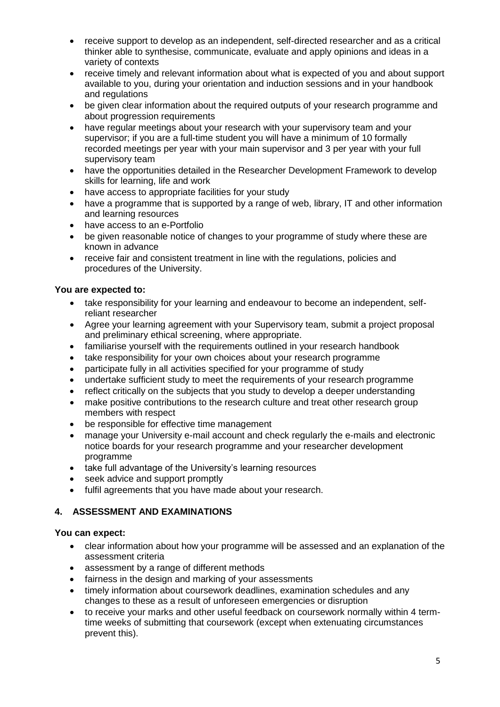- receive support to develop as an independent, self-directed researcher and as a critical thinker able to synthesise, communicate, evaluate and apply opinions and ideas in a variety of contexts
- receive timely and relevant information about what is expected of you and about support available to you, during your orientation and induction sessions and in your handbook and regulations
- be given clear information about the required outputs of your research programme and about progression requirements
- have regular meetings about your research with your supervisory team and your supervisor; if you are a full-time student you will have a minimum of 10 formally recorded meetings per year with your main supervisor and 3 per year with your full supervisory team
- have the opportunities detailed in the Researcher Development Framework to develop skills for learning, life and work
- have access to appropriate facilities for your study
- have a programme that is supported by a range of web, library, IT and other information and learning resources
- have access to an e-Portfolio
- be given reasonable notice of changes to your programme of study where these are known in advance
- receive fair and consistent treatment in line with the regulations, policies and procedures of the University.

#### **You are expected to:**

- take responsibility for your learning and endeavour to become an independent, selfreliant researcher
- Agree your learning agreement with your Supervisory team, submit a project proposal and preliminary ethical screening, where appropriate.
- familiarise yourself with the requirements outlined in your research handbook
- take responsibility for your own choices about your research programme
- participate fully in all activities specified for your programme of study
- undertake sufficient study to meet the requirements of your research programme
- reflect critically on the subjects that you study to develop a deeper understanding
- make positive contributions to the research culture and treat other research group members with respect
- be responsible for effective time management
- manage your University e-mail account and check regularly the e-mails and electronic notice boards for your research programme and your researcher development programme
- take full advantage of the University's learning resources
- seek advice and support promptly
- fulfil agreements that you have made about your research.

## **4. ASSESSMENT AND EXAMINATIONS**

#### **You can expect:**

- clear information about how your programme will be assessed and an explanation of the assessment criteria
- assessment by a range of different methods
- fairness in the design and marking of your assessments
- timely information about coursework deadlines, examination schedules and any changes to these as a result of unforeseen emergencies or disruption
- to receive your marks and other useful feedback on coursework normally within 4 termtime weeks of submitting that coursework (except when extenuating circumstances prevent this).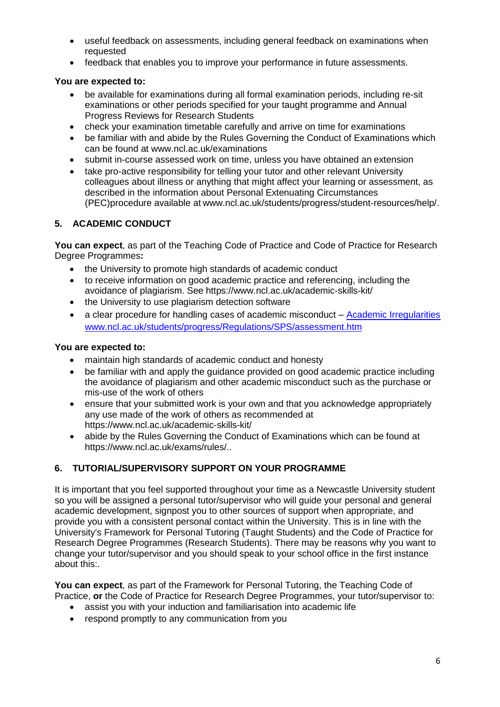- useful feedback on assessments, including general feedback on examinations when requested
- feedback that enables you to improve your performance in future assessments.

## **You are expected to:**

- be available for examinations during all formal examination periods, including re-sit examinations or other periods specified for your taught programme and Annual Progress Reviews for Research Students
- check your examination timetable carefully and arrive on time for examinations
- be familiar with and abide by the Rules Governing the Conduct of Examinations which can be found at [www.ncl.ac.uk/examinations](http://www.ncl.ac.uk/examinations)
- submit in-course assessed work on time, unless you have obtained an extension
- take pro-active responsibility for telling your tutor and other relevant University colleagues about illness or anything that might affect your learning or assessment, as described in the information about Personal Extenuating Circumstances (PEC)procedure available at [www.ncl.ac.uk/students/progress/student-resources/help/.](http://www.ncl.ac.uk/students/progress/student-resources/help/)

## **5. ACADEMIC CONDUCT**

**You can expect**, as part of the Teaching Code of Practice and Code of Practice for Research Degree Programmes**:**

- the University to promote high standards of academic conduct
- to receive information on good academic practice and referencing, including the avoidance of plagiarism. See https:/[/www.ncl.ac.uk/academic-skills-kit/](http://www.ncl.ac.uk/academic-skills-kit/)
- the University to use plagiarism detection software
- a clear procedure for handling cases of academic misconduct [Academic Irregularities](https://www.ncl.ac.uk/student-progress/policies/procedures/assessment%20irregularities/) [www.ncl.ac.uk/students/progress/Regulations/SPS/assessment.htm](http://www.ncl.ac.uk/students/progress/Regulations/SPS/assessment.htm)

#### **You are expected to:**

- maintain high standards of academic conduct and honesty
- be familiar with and apply the guidance provided on good academic practice including the avoidance of plagiarism and other academic misconduct such as the purchase or mis-use of the work of others
- ensure that your submitted work is your own and that you acknowledge appropriately any use made of the work of others as recommended at https:/[/www.ncl.ac.uk/academic-skills-kit/](http://www.ncl.ac.uk/academic-skills-kit/)
- abide by the Rules Governing the Conduct of Examinations which can be found at https:/[/www.ncl.ac.uk/exams/rules/..](http://www.ncl.ac.uk/exams/rules/)

## **6. TUTORIAL/SUPERVISORY SUPPORT ON YOUR PROGRAMME**

It is important that you feel supported throughout your time as a Newcastle University student so you will be assigned a personal tutor/supervisor who will guide your personal and general academic development, signpost you to other sources of support when appropriate, and provide you with a consistent personal contact within the University. This is in line with the University's Framework for Personal Tutoring (Taught Students) and the Code of Practice for Research Degree Programmes (Research Students). There may be reasons why you want to change your tutor/supervisor and you should speak to your school office in the first instance about this:.

**You can expect**, as part of the Framework for Personal Tutoring, the Teaching Code of Practice, **or** the Code of Practice for Research Degree Programmes, your tutor/supervisor to:

- assist you with your induction and familiarisation into academic life
- respond promptly to any communication from you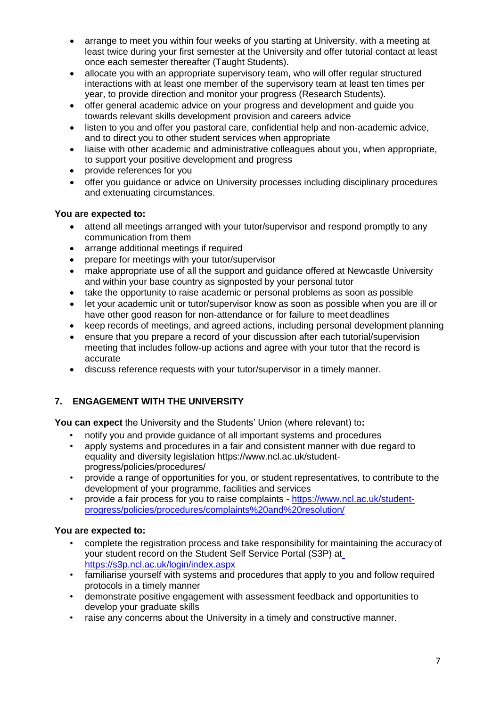- arrange to meet you within four weeks of you starting at University, with a meeting at least twice during your first semester at the University and offer tutorial contact at least once each semester thereafter (Taught Students).
- allocate you with an appropriate supervisory team, who will offer regular structured interactions with at least one member of the supervisory team at least ten times per year, to provide direction and monitor your progress (Research Students).
- offer general academic advice on your progress and development and guide you towards relevant skills development provision and careers advice
- listen to you and offer you pastoral care, confidential help and non-academic advice, and to direct you to other student services when appropriate
- liaise with other academic and administrative colleagues about you, when appropriate, to support your positive development and progress
- provide references for you
- offer you guidance or advice on University processes including disciplinary procedures and extenuating circumstances.

#### **You are expected to:**

- attend all meetings arranged with your tutor/supervisor and respond promptly to any communication from them
- arrange additional meetings if required
- prepare for meetings with your tutor/supervisor
- make appropriate use of all the support and guidance offered at Newcastle University and within your base country as signposted by your personal tutor
- take the opportunity to raise academic or personal problems as soon as possible
- let your academic unit or tutor/supervisor know as soon as possible when you are ill or have other good reason for non-attendance or for failure to meet deadlines
- keep records of meetings, and agreed actions, including personal development planning
- ensure that you prepare a record of your discussion after each tutorial/supervision meeting that includes follow-up actions and agree with your tutor that the record is accurate
- discuss reference requests with your tutor/supervisor in a timely manner.

## **7. ENGAGEMENT WITH THE UNIVERSITY**

**You can expect** the University and the Students' Union (where relevant) to**:**

- notify you and provide guidance of all important systems and procedures
- apply systems and procedures in a fair and consistent manner with due regard to equality and diversity legislation https:/[/www.ncl.ac.uk/student](http://www.ncl.ac.uk/student-)progress/policies/procedures/
- provide a range of opportunities for you, or student representatives, to contribute to the development of your programme, facilities and services
- provide a fair process for you to raise complaints [https://www.ncl.ac.uk/student](https://www.ncl.ac.uk/student-progress/policies/procedures/complaints%20and%20resolution/)[progress/policies/procedures/complaints%20and%20resolution/](https://www.ncl.ac.uk/student-progress/policies/procedures/complaints%20and%20resolution/)

## **You are expected to:**

- complete the registration process and take responsibility for maintaining the accuracy of your student record on the Student Self Service Portal (S3P) at <https://s3p.ncl.ac.uk/login/index.aspx>
- familiarise yourself with systems and procedures that apply to you and follow required protocols in a timely manner
- demonstrate positive engagement with assessment feedback and opportunities to develop your graduate skills
- raise any concerns about the University in a timely and constructive manner.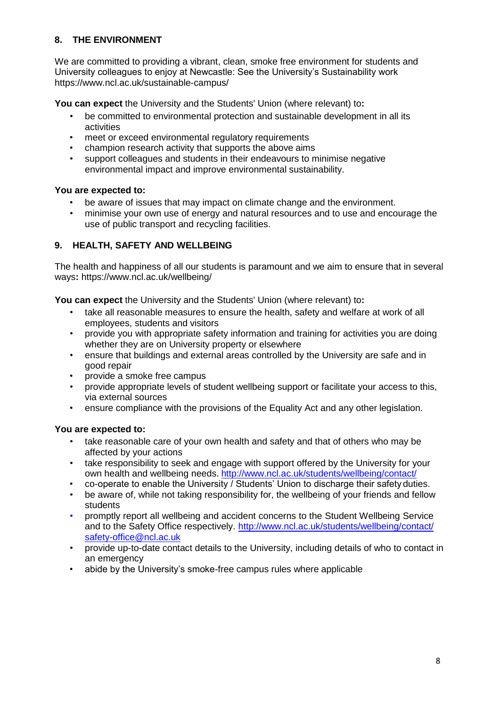## **8. THE ENVIRONMENT**

We are committed to providing a vibrant, clean, smoke free environment for students and University colleagues to enjoy at Newcastle: See the University's Sustainability work https:/[/www.ncl.ac.uk/sustainable-campus/](http://www.ncl.ac.uk/sustainable-campus/)

**You can expect** the University and the Students' Union (where relevant) to**:**

- be committed to environmental protection and sustainable development in all its activities
- meet or exceed environmental regulatory requirements
- champion research activity that supports the above aims
- support colleagues and students in their endeavours to minimise negative environmental impact and improve environmental sustainability.

#### **You are expected to:**

- be aware of issues that may impact on climate change and the environment.
- minimise your own use of energy and natural resources and to use and encourage the use of public transport and recycling facilities.

## **9. HEALTH, SAFETY AND WELLBEING**

The health and happiness of all our students is paramount and we aim to ensure that in several ways**:** https:/[/www.ncl.ac.uk/wellbeing/](http://www.ncl.ac.uk/wellbeing/)

**You can expect** the University and the Students' Union (where relevant) to**:**

- take all reasonable measures to ensure the health, safety and welfare at work of all employees, students and visitors
- provide you with appropriate safety information and training for activities you are doing whether they are on University property or elsewhere
- ensure that buildings and external areas controlled by the University are safe and in good repair
- provide a smoke free campus
- provide appropriate levels of student wellbeing support or facilitate your access to this, via external sources
- ensure compliance with the provisions of the Equality Act and any other legislation.

## **You are expected to:**

- take reasonable care of your own health and safety and that of others who may be affected by your actions
- take responsibility to seek and engage with support offered by the University for your own health and wellbeing needs. <http://www.ncl.ac.uk/students/wellbeing/contact/>
- co-operate to enable the University / Students' Union to discharge their safety duties.
- be aware of, while not taking responsibility for, the wellbeing of your friends and fellow students
- promptly report all wellbeing and accident concerns to the Student Wellbeing Service and to the Safety Office respectively. <http://www.ncl.ac.uk/students/wellbeing/contact/> [safety-office@ncl.ac.uk](mailto:safety-office@ncl.ac.uk)
- provide up-to-date contact details to the University, including details of who to contact in an emergency
- abide by the University's smoke-free campus rules where applicable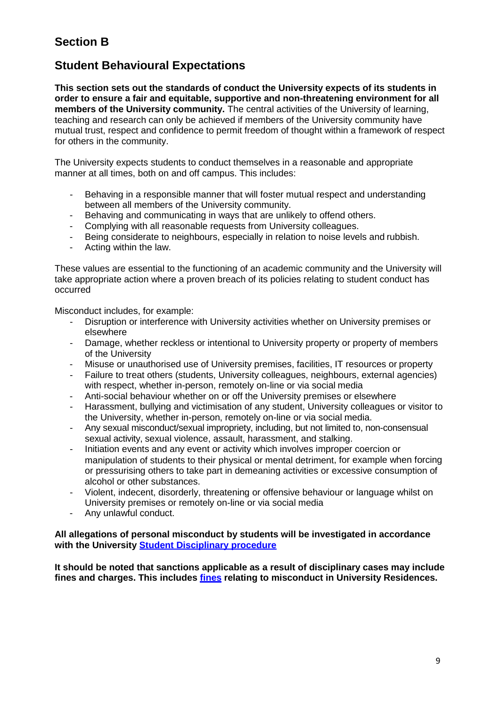# **Section B**

# **Student Behavioural Expectations**

**This section sets out the standards of conduct the University expects of its students in order to ensure a fair and equitable, supportive and non-threatening environment for all members of the University community.** The central activities of the University of learning, teaching and research can only be achieved if members of the University community have mutual trust, respect and confidence to permit freedom of thought within a framework of respect for others in the community.

The University expects students to conduct themselves in a reasonable and appropriate manner at all times, both on and off campus. This includes:

- Behaving in a responsible manner that will foster mutual respect and understanding between all members of the University community.
- Behaving and communicating in ways that are unlikely to offend others.
- Complying with all reasonable requests from University colleagues.
- Being considerate to neighbours, especially in relation to noise levels and rubbish.
- Acting within the law.

These values are essential to the functioning of an academic community and the University will take appropriate action where a proven breach of its policies relating to student conduct has occurred

Misconduct includes, for example:

- Disruption or interference with University activities whether on University premises or elsewhere
- Damage, whether reckless or intentional to University property or property of members of the University
- Misuse or unauthorised use of University premises, facilities, IT resources or property
- Failure to treat others (students, University colleagues, neighbours, external agencies) with respect, whether in-person, remotely on-line or via social media
- Anti-social behaviour whether on or off the University premises or elsewhere
- Harassment, bullying and victimisation of any student, University colleagues or visitor to the University, whether in-person, remotely on-line or via social media.
- Any sexual misconduct/sexual impropriety, including, but not limited to, non-consensual sexual activity, sexual violence, assault, harassment, and stalking.
- Initiation events and any event or activity which involves improper coercion or manipulation of students to their physical or mental detriment, for example when forcing or pressurising others to take part in demeaning activities or excessive consumption of alcohol or other substances.
- Violent, indecent, disorderly, threatening or offensive behaviour or language whilst on University premises or remotely on-line or via social media
- Any unlawful conduct.

#### **All allegations of personal misconduct by students will be investigated in accordance with the University [Student Disciplinary procedure](https://www.ncl.ac.uk/student-progress/policies/procedures/disciplinary)**

**It should be noted that sanctions applicable as a result of disciplinary cases may include fines and charges. This includes [fines](https://www.ncl.ac.uk/media/wwwnclacuk/studentprogress/files/Exemplar%20Fines%20and%20Charges%2019_20.pdf) relating to misconduct in University Residences.**